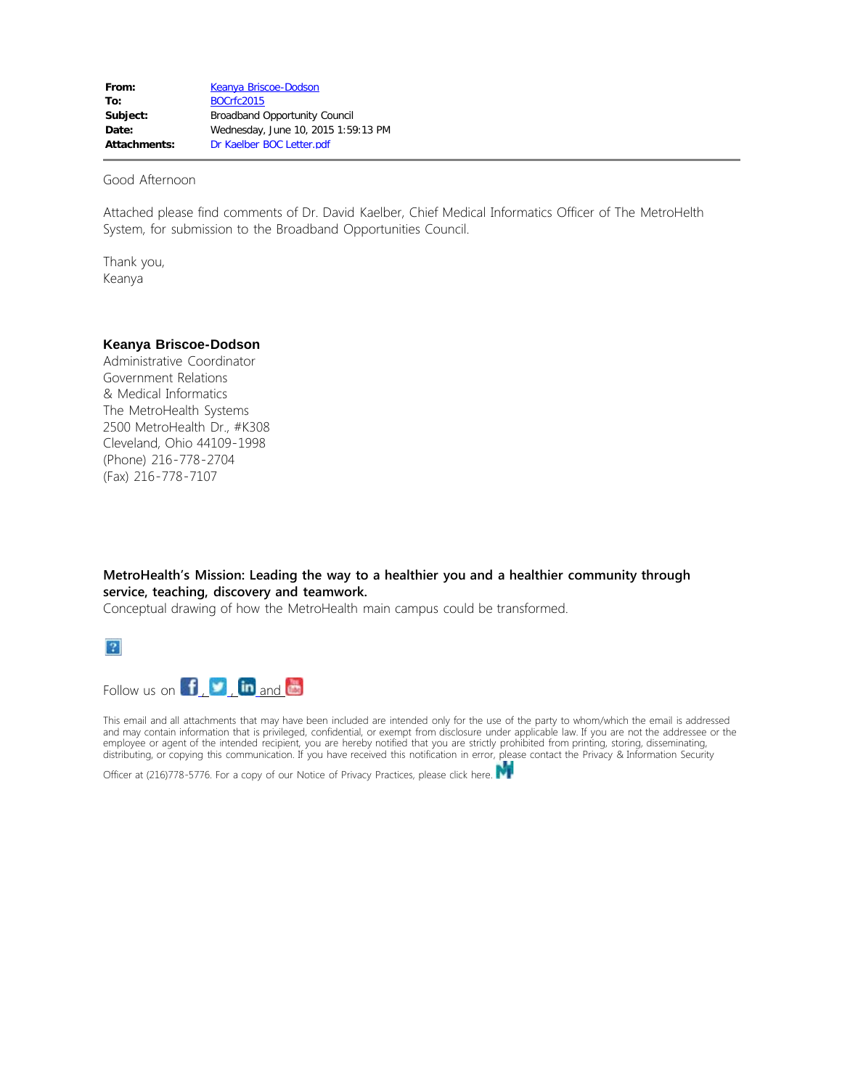Good Afternoon

Attached please find comments of Dr. David Kaelber, Chief Medical Informatics Officer of The MetroHelth System, for submission to the Broadband Opportunities Council.

Thank you, Keanya

## **Keanya Briscoe-Dodson**

Administrative Coordinator Government Relations & Medical Informatics The MetroHealth Systems 2500 MetroHealth Dr., #K308 Cleveland, Ohio 44109-1998 (Phone) 216-778-2704 (Fax) 216-778-7107

**MetroHealth's Mission: Leading the way to a healthier you and a healthier community through service, teaching, discovery and teamwork.** 

Conceptual drawing of how the MetroHealth main campus could be transformed.



Follow us on  $\left| \mathbf{f} \right|$ [,](http://twitter.com/MetroHealthCLE)  $\left| \mathbf{v} \right|$ ,  $\left| \mathbf{in} \right|$  [and](http://www.linkedin.com/company/164957?trk=vsrp_companies_res_name&trkInfo=VSRPsearchId%3A196689801400166249046%2CVSRPtargetId%3A164957%2CVSRPcmpt%3Aprimary)  $\left| \mathbf{e} \right|$ 

This email and all attachments that may have been included are intended only for the use of the party to whom/which the email is addressed and may contain information that is privileged, confidential, or exempt from disclosure under applicable law. If you are not the addressee or the employee or agent of the intended recipient, you are hereby notified that you are strictly prohibited from printing, storing, disseminating, distributing, or copying this communication. If you have received this notification in error, please contact the Privacy & Information Security

Officer at (216)778-5776. For a copy of our Notice of Privacy Practices, please click here.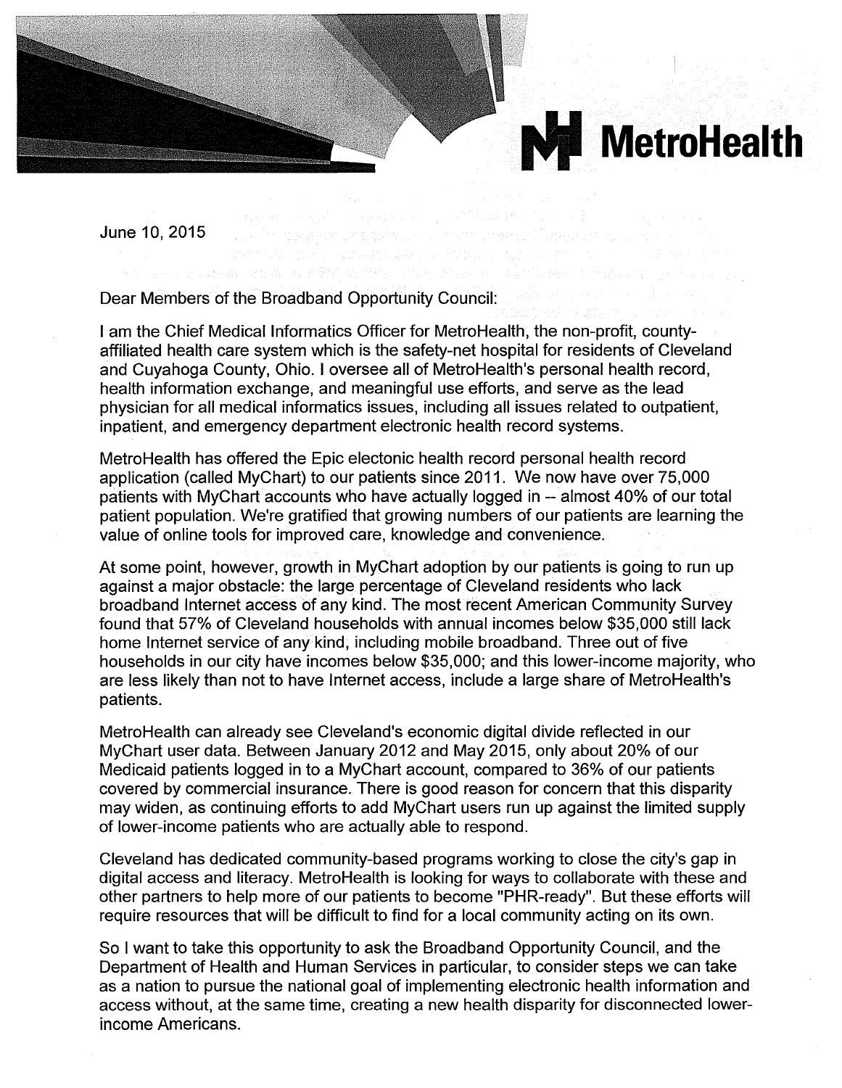

June 10, 2015

Dear Members of the Broadband Opportunity Council:

I am the Chief Medical Informatics Officer for MetroHealth, the non-profit, countyaffiliated health care system which is the safety-net hospital for residents of Cleveland and Cuyahoga County, Ohio. I oversee all of MetroHealth's personal health record, health information exchange, and meaningful use efforts, and serve as the lead physician for all medical informatics issues, including all issues related to outpatient, inpatient, and emergency department electronic health record systems.

Metro Health has offered the Epic electonic health record personal health record application (called MyChart) to our patients since 2011. We now have over 75,000 patients with MyChart accounts who have actually logged in -- almost 40% of our total patient population. We're gratified that growing numbers of our patients are learning the value of online tools for improved care, knowledge and convenience.

At some point, however, growth in MyChart adoption by our patients is going to run up against a major obstacle: the large percentage of Cleveland residents who lack broadband Internet access of any kind. The most recent American Community Survey found that 57% of Cleveland households with annual incomes below \$35,000 still lack home Internet service of any kind, including mobile broadband. Three out of five households in our city have incomes below \$35,000; and this lower-income majority, who are less likely than not to have Internet access, include a large share of MetroHealth's patients.

MetroHealth can already see Cleveland's economic digital divide reflected in our MyChart user data. Between January 2012 and May 2015, only about 20% of our Medicaid patients logged in to a MyChart account, compared to 36% of our patients covered by commercial insurance. There is good reason for concern that this disparity may widen, as continuing efforts to add MyChart users run up against the limited supply of lower-income patients who are actually able to respond.

Cleveland has dedicated community-based programs working to close the city's gap in digital access and literacy. MetroHealth is looking for ways to collaborate with these and other partners to help more of our patients to become "PHR-ready". But these efforts will require resources that will be difficult to find for a local community acting on its own.

So I want to take this opportunity to ask the Broadband Opportunity Council, and the Department of Health and Human Services in particular, to consider steps we can take as a nation to pursue the national goal of implementing electronic health information and access without, at the same time, creating a new health disparity for disconnected lowerincome Americans.